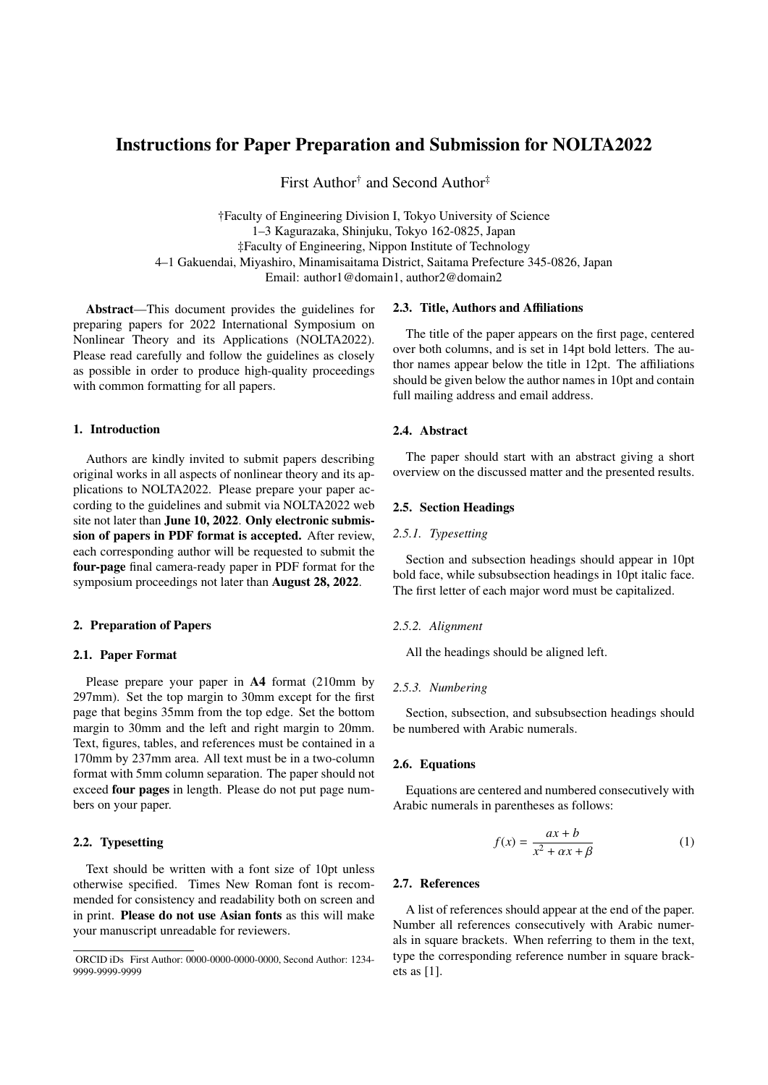# Instructions for Paper Preparation and Submission for NOLTA2022

First Author<sup>†</sup> and Second Author<sup>‡</sup>

†Faculty of Engineering Division I, Tokyo University of Science 1–3 Kagurazaka, Shinjuku, Tokyo 162-0825, Japan ‡Faculty of Engineering, Nippon Institute of Technology 4–1 Gakuendai, Miyashiro, Minamisaitama District, Saitama Prefecture 345-0826, Japan Email: author1@domain1, author2@domain2

Abstract—This document provides the guidelines for preparing papers for 2022 International Symposium on Nonlinear Theory and its Applications (NOLTA2022). Please read carefully and follow the guidelines as closely as possible in order to produce high-quality proceedings with common formatting for all papers.

#### 1. Introduction

Authors are kindly invited to submit papers describing original works in all aspects of nonlinear theory and its applications to NOLTA2022. Please prepare your paper according to the guidelines and submit via NOLTA2022 web site not later than June 10, 2022. Only electronic submission of papers in PDF format is accepted. After review, each corresponding author will be requested to submit the four-page final camera-ready paper in PDF format for the symposium proceedings not later than August 28, 2022.

### 2. Preparation of Papers

# 2.1. Paper Format

Please prepare your paper in A4 format (210mm by 297mm). Set the top margin to 30mm except for the first page that begins 35mm from the top edge. Set the bottom margin to 30mm and the left and right margin to 20mm. Text, figures, tables, and references must be contained in a 170mm by 237mm area. All text must be in a two-column format with 5mm column separation. The paper should not exceed four pages in length. Please do not put page numbers on your paper.

# 2.2. Typesetting

Text should be written with a font size of 10pt unless otherwise specified. Times New Roman font is recommended for consistency and readability both on screen and in print. Please do not use Asian fonts as this will make your manuscript unreadable for reviewers.

#### 2.3. Title, Authors and Affiliations

The title of the paper appears on the first page, centered over both columns, and is set in 14pt bold letters. The author names appear below the title in 12pt. The affiliations should be given below the author names in 10pt and contain full mailing address and email address.

# 2.4. Abstract

The paper should start with an abstract giving a short overview on the discussed matter and the presented results.

#### 2.5. Section Headings

#### *2.5.1. Typesetting*

Section and subsection headings should appear in 10pt bold face, while subsubsection headings in 10pt italic face. The first letter of each major word must be capitalized.

### *2.5.2. Alignment*

All the headings should be aligned left.

### *2.5.3. Numbering*

Section, subsection, and subsubsection headings should be numbered with Arabic numerals.

### 2.6. Equations

Equations are centered and numbered consecutively with Arabic numerals in parentheses as follows:

$$
f(x) = \frac{ax + b}{x^2 + ax + \beta} \tag{1}
$$

# 2.7. References

A list of references should appear at the end of the paper. Number all references consecutively with Arabic numerals in square brackets. When referring to them in the text, type the corresponding reference number in square brackets as [1].

ORCID iDs First Author: 0000-0000-0000-0000, Second Author: 1234- 9999-9999-9999